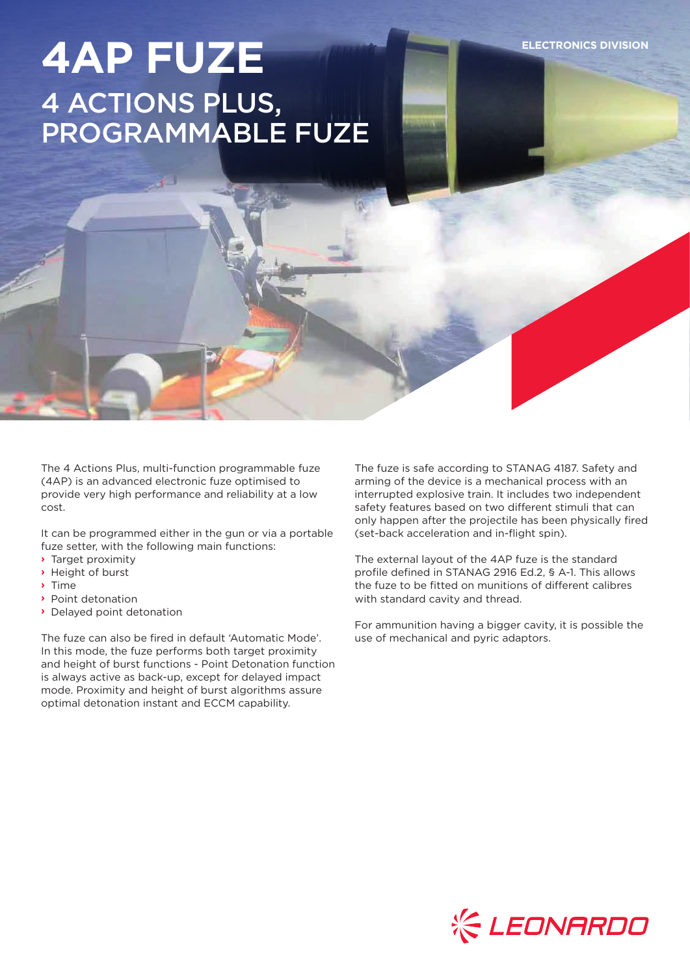**ELECTRONICS DIVISION**

# **4AP FUZE** 4 ACTIONS PLUS, PROGRAMMABLE FUZE

The 4 Actions Plus, multi-function programmable fuze (4AP) is an advanced electronic fuze optimised to provide very high performance and reliability at a low cost.

It can be programmed either in the gun or via a portable fuze setter, with the following main functions:

- **›** Target proximity
- **›** Height of burst
- **›** Time
- **›** Point detonation
- **›** Delayed point detonation

The fuze can also be fired in default 'Automatic Mode'. In this mode, the fuze performs both target proximity and height of burst functions - Point Detonation function is always active as back-up, except for delayed impact mode. Proximity and height of burst algorithms assure optimal detonation instant and ECCM capability.

The fuze is safe according to STANAG 4187. Safety and arming of the device is a mechanical process with an interrupted explosive train. It includes two independent safety features based on two different stimuli that can only happen after the projectile has been physically fired (set-back acceleration and in-flight spin).

The external layout of the 4AP fuze is the standard profile defined in STANAG 2916 Ed.2, § A-1. This allows the fuze to be fitted on munitions of different calibres with standard cavity and thread.

For ammunition having a bigger cavity, it is possible the use of mechanical and pyric adaptors.